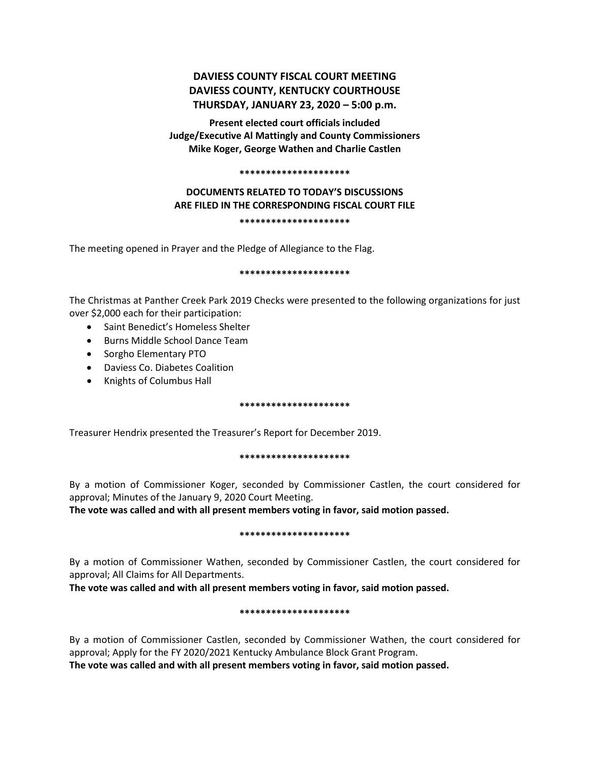# **DAVIESS COUNTY FISCAL COURT MEETING DAVIESS COUNTY, KENTUCKY COURTHOUSE THURSDAY, JANUARY 23, 2020 – 5:00 p.m.**

**Present elected court officials included Judge/Executive Al Mattingly and County Commissioners Mike Koger, George Wathen and Charlie Castlen**

#### **\*\*\*\*\*\*\*\*\*\*\*\*\*\*\*\*\*\*\*\*\***

# **DOCUMENTS RELATED TO TODAY'S DISCUSSIONS ARE FILED IN THE CORRESPONDING FISCAL COURT FILE \*\*\*\*\*\*\*\*\*\*\*\*\*\*\*\*\*\*\*\*\***

The meeting opened in Prayer and the Pledge of Allegiance to the Flag.

### **\*\*\*\*\*\*\*\*\*\*\*\*\*\*\*\*\*\*\*\*\***

The Christmas at Panther Creek Park 2019 Checks were presented to the following organizations for just over \$2,000 each for their participation:

- Saint Benedict's Homeless Shelter
- Burns Middle School Dance Team
- Sorgho Elementary PTO
- Daviess Co. Diabetes Coalition
- Knights of Columbus Hall

### **\*\*\*\*\*\*\*\*\*\*\*\*\*\*\*\*\*\*\*\*\***

Treasurer Hendrix presented the Treasurer's Report for December 2019.

# **\*\*\*\*\*\*\*\*\*\*\*\*\*\*\*\*\*\*\*\*\***

By a motion of Commissioner Koger, seconded by Commissioner Castlen, the court considered for approval; Minutes of the January 9, 2020 Court Meeting.

**The vote was called and with all present members voting in favor, said motion passed.** 

# **\*\*\*\*\*\*\*\*\*\*\*\*\*\*\*\*\*\*\*\*\***

By a motion of Commissioner Wathen, seconded by Commissioner Castlen, the court considered for approval; All Claims for All Departments.

**The vote was called and with all present members voting in favor, said motion passed.** 

### **\*\*\*\*\*\*\*\*\*\*\*\*\*\*\*\*\*\*\*\*\***

By a motion of Commissioner Castlen, seconded by Commissioner Wathen, the court considered for approval; Apply for the FY 2020/2021 Kentucky Ambulance Block Grant Program.

**The vote was called and with all present members voting in favor, said motion passed.**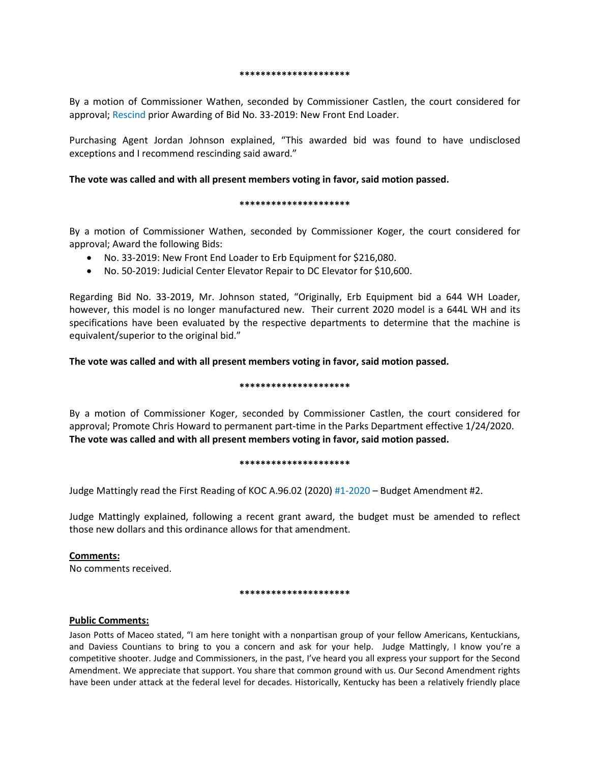#### **\*\*\*\*\*\*\*\*\*\*\*\*\*\*\*\*\*\*\*\*\***

By a motion of Commissioner Wathen, seconded by Commissioner Castlen, the court considered for approval; Rescind prior Awarding of Bid No. 33-2019: New Front End Loader.

Purchasing Agent Jordan Johnson explained, "This awarded bid was found to have undisclosed exceptions and I recommend rescinding said award."

### **The vote was called and with all present members voting in favor, said motion passed.**

### **\*\*\*\*\*\*\*\*\*\*\*\*\*\*\*\*\*\*\*\*\***

By a motion of Commissioner Wathen, seconded by Commissioner Koger, the court considered for approval; Award the following Bids:

- No. 33-2019: New Front End Loader to Erb Equipment for \$216,080.
- No. 50-2019: Judicial Center Elevator Repair to DC Elevator for \$10,600.

Regarding Bid No. 33-2019, Mr. Johnson stated, "Originally, Erb Equipment bid a 644 WH Loader, however, this model is no longer manufactured new. Their current 2020 model is a 644L WH and its specifications have been evaluated by the respective departments to determine that the machine is equivalent/superior to the original bid."

**The vote was called and with all present members voting in favor, said motion passed.** 

### **\*\*\*\*\*\*\*\*\*\*\*\*\*\*\*\*\*\*\*\*\***

By a motion of Commissioner Koger, seconded by Commissioner Castlen, the court considered for approval; Promote Chris Howard to permanent part-time in the Parks Department effective 1/24/2020. **The vote was called and with all present members voting in favor, said motion passed.** 

#### **\*\*\*\*\*\*\*\*\*\*\*\*\*\*\*\*\*\*\*\*\***

Judge Mattingly read the First Reading of KOC A.96.02 (2020) #1-2020 – Budget Amendment #2.

Judge Mattingly explained, following a recent grant award, the budget must be amended to reflect those new dollars and this ordinance allows for that amendment.

# **Comments:**

No comments received.

### **\*\*\*\*\*\*\*\*\*\*\*\*\*\*\*\*\*\*\*\*\***

# **Public Comments:**

Jason Potts of Maceo stated, "I am here tonight with a nonpartisan group of your fellow Americans, Kentuckians, and Daviess Countians to bring to you a concern and ask for your help. Judge Mattingly, I know you're a competitive shooter. Judge and Commissioners, in the past, I've heard you all express your support for the Second Amendment. We appreciate that support. You share that common ground with us. Our Second Amendment rights have been under attack at the federal level for decades. Historically, Kentucky has been a relatively friendly place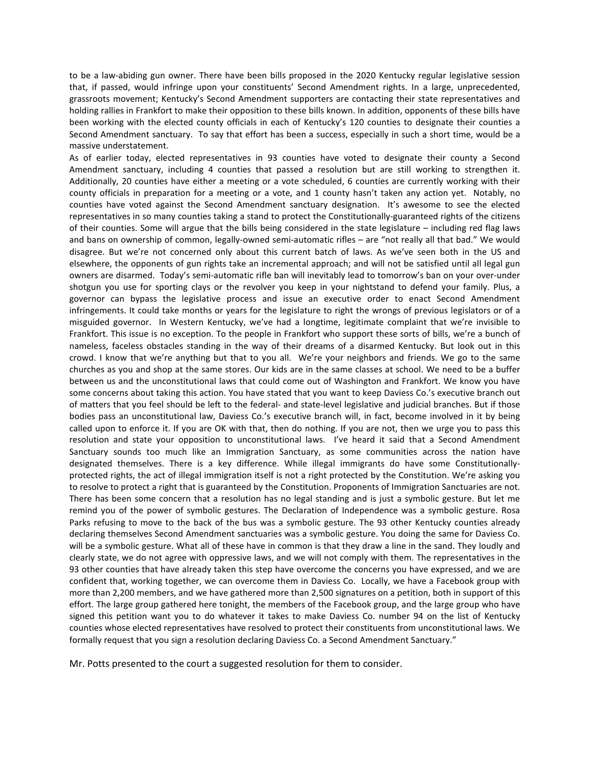to be a law-abiding gun owner. There have been bills proposed in the 2020 Kentucky regular legislative session that, if passed, would infringe upon your constituents' Second Amendment rights. In a large, unprecedented, grassroots movement; Kentucky's Second Amendment supporters are contacting their state representatives and holding rallies in Frankfort to make their opposition to these bills known. In addition, opponents of these bills have been working with the elected county officials in each of Kentucky's 120 counties to designate their counties a Second Amendment sanctuary. To say that effort has been a success, especially in such a short time, would be a massive understatement.

As of earlier today, elected representatives in 93 counties have voted to designate their county a Second Amendment sanctuary, including 4 counties that passed a resolution but are still working to strengthen it. Additionally, 20 counties have either a meeting or a vote scheduled, 6 counties are currently working with their county officials in preparation for a meeting or a vote, and 1 county hasn't taken any action yet. Notably, no counties have voted against the Second Amendment sanctuary designation. It's awesome to see the elected representatives in so many counties taking a stand to protect the Constitutionally-guaranteed rights of the citizens of their counties. Some will argue that the bills being considered in the state legislature – including red flag laws and bans on ownership of common, legally-owned semi-automatic rifles – are "not really all that bad." We would disagree. But we're not concerned only about this current batch of laws. As we've seen both in the US and elsewhere, the opponents of gun rights take an incremental approach; and will not be satisfied until all legal gun owners are disarmed. Today's semi-automatic rifle ban will inevitably lead to tomorrow's ban on your over-under shotgun you use for sporting clays or the revolver you keep in your nightstand to defend your family. Plus, a governor can bypass the legislative process and issue an executive order to enact Second Amendment infringements. It could take months or years for the legislature to right the wrongs of previous legislators or of a misguided governor. In Western Kentucky, we've had a longtime, legitimate complaint that we're invisible to Frankfort. This issue is no exception. To the people in Frankfort who support these sorts of bills, we're a bunch of nameless, faceless obstacles standing in the way of their dreams of a disarmed Kentucky. But look out in this crowd. I know that we're anything but that to you all. We're your neighbors and friends. We go to the same churches as you and shop at the same stores. Our kids are in the same classes at school. We need to be a buffer between us and the unconstitutional laws that could come out of Washington and Frankfort. We know you have some concerns about taking this action. You have stated that you want to keep Daviess Co.'s executive branch out of matters that you feel should be left to the federal- and state-level legislative and judicial branches. But if those bodies pass an unconstitutional law, Daviess Co.'s executive branch will, in fact, become involved in it by being called upon to enforce it. If you are OK with that, then do nothing. If you are not, then we urge you to pass this resolution and state your opposition to unconstitutional laws. I've heard it said that a Second Amendment Sanctuary sounds too much like an Immigration Sanctuary, as some communities across the nation have designated themselves. There is a key difference. While illegal immigrants do have some Constitutionallyprotected rights, the act of illegal immigration itself is not a right protected by the Constitution. We're asking you to resolve to protect a right that is guaranteed by the Constitution. Proponents of Immigration Sanctuaries are not. There has been some concern that a resolution has no legal standing and is just a symbolic gesture. But let me remind you of the power of symbolic gestures. The Declaration of Independence was a symbolic gesture. Rosa Parks refusing to move to the back of the bus was a symbolic gesture. The 93 other Kentucky counties already declaring themselves Second Amendment sanctuaries was a symbolic gesture. You doing the same for Daviess Co. will be a symbolic gesture. What all of these have in common is that they draw a line in the sand. They loudly and clearly state, we do not agree with oppressive laws, and we will not comply with them. The representatives in the 93 other counties that have already taken this step have overcome the concerns you have expressed, and we are confident that, working together, we can overcome them in Daviess Co. Locally, we have a Facebook group with more than 2,200 members, and we have gathered more than 2,500 signatures on a petition, both in support of this effort. The large group gathered here tonight, the members of the Facebook group, and the large group who have signed this petition want you to do whatever it takes to make Daviess Co. number 94 on the list of Kentucky counties whose elected representatives have resolved to protect their constituents from unconstitutional laws. We formally request that you sign a resolution declaring Daviess Co. a Second Amendment Sanctuary."

Mr. Potts presented to the court a suggested resolution for them to consider.